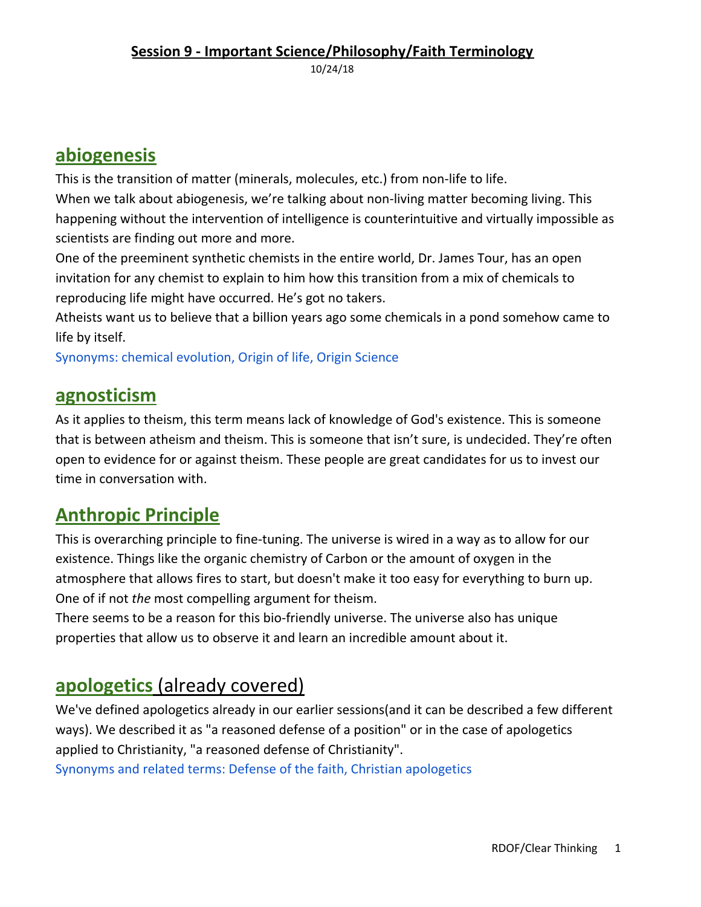#### **Session 9 - Important Science/Philosophy/Faith Terminology**

10/24/18

### **abiogenesis**

This is the transition of matter (minerals, molecules, etc.) from non-life to life.

When we talk about abiogenesis, we're talking about non-living matter becoming living. This happening without the intervention of intelligence is counterintuitive and virtually impossible as scientists are finding out more and more.

One of the preeminent synthetic chemists in the entire world, Dr. James Tour, has an open invitation for any chemist to explain to him how this transition from a mix of chemicals to reproducing life might have occurred. He's got no takers.

Atheists want us to believe that a billion years ago some chemicals in a pond somehow came to life by itself.

Synonyms: chemical evolution, Origin of life, Origin Science

#### **agnosticism**

As it applies to theism, this term means lack of knowledge of God's existence. This is someone that is between atheism and theism. This is someone that isn't sure, is undecided. They're often open to evidence for or against theism. These people are great candidates for us to invest our time in conversation with.

### **Anthropic Principle**

This is overarching principle to fine-tuning. The universe is wired in a way as to allow for our existence. Things like the organic chemistry of Carbon or the amount of oxygen in the atmosphere that allows fires to start, but doesn't make it too easy for everything to burn up. One of if not *the* most compelling argument for theism.

There seems to be a reason for this bio-friendly universe. The universe also has unique properties that allow us to observe it and learn an incredible amount about it.

### **apologetics** (already covered)

We've defined apologetics already in our earlier sessions(and it can be described a few different ways). We described it as "a reasoned defense of a position" or in the case of apologetics applied to Christianity, "a reasoned defense of Christianity".

Synonyms and related terms: Defense of the faith, Christian apologetics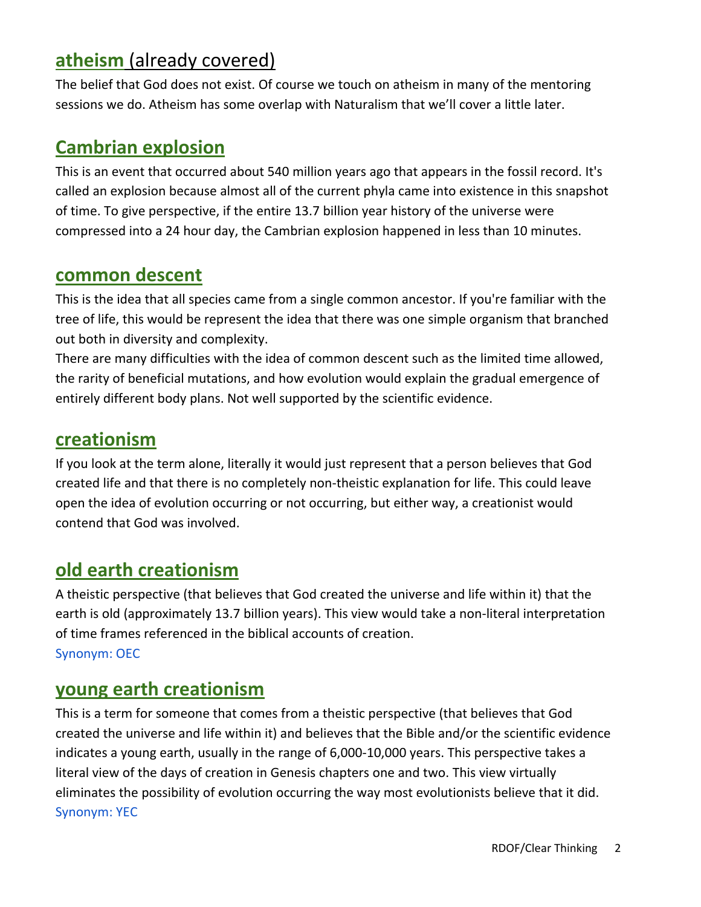## **atheism** (already covered)

The belief that God does not exist. Of course we touch on atheism in many of the mentoring sessions we do. Atheism has some overlap with Naturalism that we'll cover a little later.

#### **Cambrian explosion**

This is an event that occurred about 540 million years ago that appears in the fossil record. It's called an explosion because almost all of the current phyla came into existence in this snapshot of time. To give perspective, if the entire 13.7 billion year history of the universe were compressed into a 24 hour day, the Cambrian explosion happened in less than 10 minutes.

#### **common descent**

This is the idea that all species came from a single common ancestor. If you're familiar with the tree of life, this would be represent the idea that there was one simple organism that branched out both in diversity and complexity.

There are many difficulties with the idea of common descent such as the limited time allowed, the rarity of beneficial mutations, and how evolution would explain the gradual emergence of entirely different body plans. Not well supported by the scientific evidence.

#### **creationism**

If you look at the term alone, literally it would just represent that a person believes that God created life and that there is no completely non-theistic explanation for life. This could leave open the idea of evolution occurring or not occurring, but either way, a creationist would contend that God was involved.

### **old earth creationism**

A theistic perspective (that believes that God created the universe and life within it) that the earth is old (approximately 13.7 billion years). This view would take a non-literal interpretation of time frames referenced in the biblical accounts of creation. Synonym: OEC

#### **young earth creationism**

This is a term for someone that comes from a theistic perspective (that believes that God created the universe and life within it) and believes that the Bible and/or the scientific evidence indicates a young earth, usually in the range of 6,000-10,000 years. This perspective takes a literal view of the days of creation in Genesis chapters one and two. This view virtually eliminates the possibility of evolution occurring the way most evolutionists believe that it did. Synonym: YEC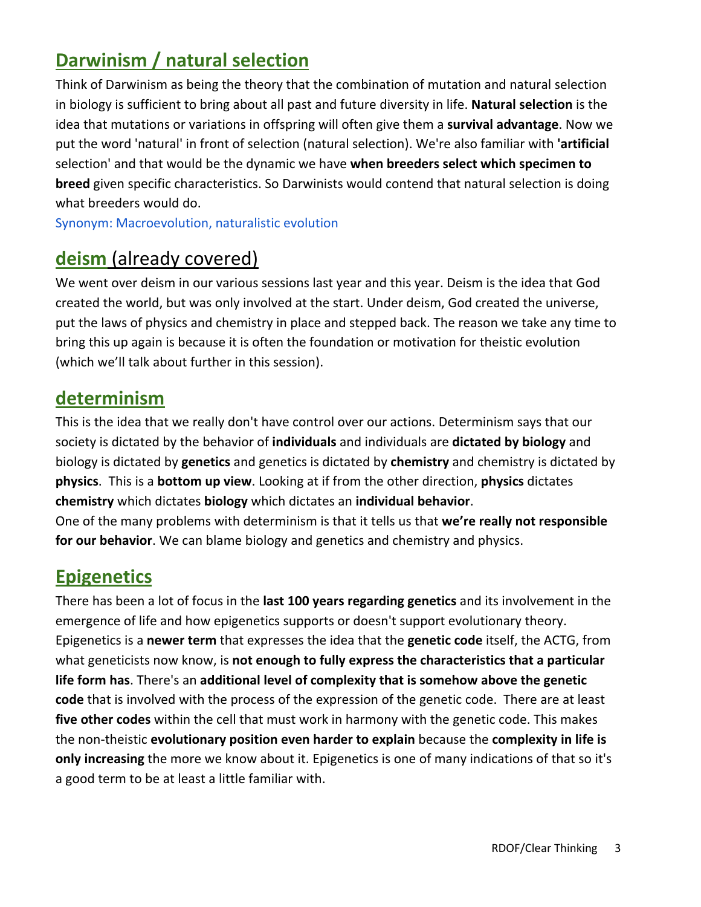# **Darwinism / natural selection**

Think of Darwinism as being the theory that the combination of mutation and natural selection in biology is sufficient to bring about all past and future diversity in life. **Natural selection** is the idea that mutations or variations in offspring will often give them a **survival advantage**. Now we put the word 'natural' in front of selection (natural selection). We're also familiar with **'artificial** selection' and that would be the dynamic we have **when breeders select which specimen to breed** given specific characteristics. So Darwinists would contend that natural selection is doing what breeders would do.

Synonym: Macroevolution, naturalistic evolution

## **deism** (already covered)

We went over deism in our various sessions last year and this year. Deism is the idea that God created the world, but was only involved at the start. Under deism, God created the universe, put the laws of physics and chemistry in place and stepped back. The reason we take any time to bring this up again is because it is often the foundation or motivation for theistic evolution (which we'll talk about further in this session).

### **determinism**

This is the idea that we really don't have control over our actions. Determinism says that our society is dictated by the behavior of **individuals** and individuals are **dictated by biology** and biology is dictated by **genetics** and genetics is dictated by **chemistry** and chemistry is dictated by **physics**. This is a **bottom up view**. Looking at if from the other direction, **physics** dictates **chemistry** which dictates **biology** which dictates an **individual behavior**. One of the many problems with determinism is that it tells us that **we're really not responsible for our behavior**. We can blame biology and genetics and chemistry and physics.

### **Epigenetics**

There has been a lot of focus in the **last 100 years regarding genetics** and its involvement in the emergence of life and how epigenetics supports or doesn't support evolutionary theory. Epigenetics is a **newer term** that expresses the idea that the **genetic code** itself, the ACTG, from what geneticists now know, is **not enough to fully express the characteristics that a particular life form has**. There's an **additional level of complexity that is somehow above the genetic code** that is involved with the process of the expression of the genetic code. There are at least **five other codes** within the cell that must work in harmony with the genetic code. This makes the non-theistic **evolutionary position even harder to explain** because the **complexity in life is only increasing** the more we know about it. Epigenetics is one of many indications of that so it's a good term to be at least a little familiar with.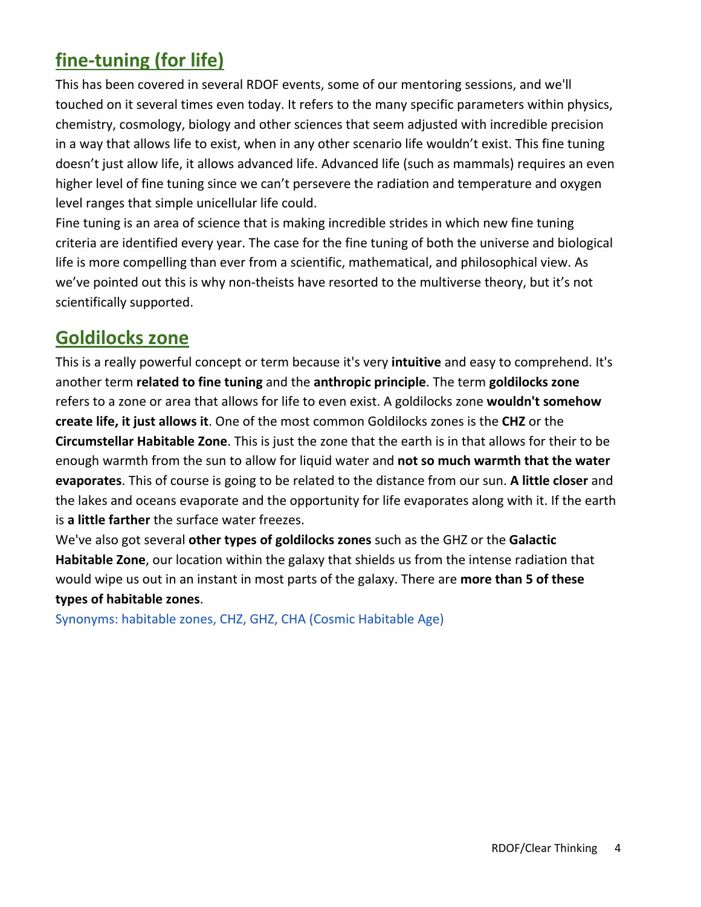# **fine-tuning (for life)**

This has been covered in several RDOF events, some of our mentoring sessions, and we'll touched on it several times even today. It refers to the many specific parameters within physics, chemistry, cosmology, biology and other sciences that seem adjusted with incredible precision in a way that allows life to exist, when in any other scenario life wouldn't exist. This fine tuning doesn't just allow life, it allows advanced life. Advanced life (such as mammals) requires an even higher level of fine tuning since we can't persevere the radiation and temperature and oxygen level ranges that simple unicellular life could.

Fine tuning is an area of science that is making incredible strides in which new fine tuning criteria are identified every year. The case for the fine tuning of both the universe and biological life is more compelling than ever from a scientific, mathematical, and philosophical view. As we've pointed out this is why non-theists have resorted to the multiverse theory, but it's not scientifically supported.

### **Goldilocks zone**

This is a really powerful concept or term because it's very **intuitive** and easy to comprehend. It's another term **related to fine tuning** and the **anthropic principle**. The term **goldilocks zone** refers to a zone or area that allows for life to even exist. A goldilocks zone **wouldn't somehow create life, it just allows it**. One of the most common Goldilocks zones is the **CHZ** or the **Circumstellar Habitable Zone**. This is just the zone that the earth is in that allows for their to be enough warmth from the sun to allow for liquid water and **not so much warmth that the water evaporates**. This of course is going to be related to the distance from our sun. **A little closer** and the lakes and oceans evaporate and the opportunity for life evaporates along with it. If the earth is **a little farther** the surface water freezes.

We've also got several **other types of goldilocks zones** such as the GHZ or the **Galactic Habitable Zone**, our location within the galaxy that shields us from the intense radiation that would wipe us out in an instant in most parts of the galaxy. There are **more than 5 of these types of habitable zones**.

Synonyms: habitable zones, CHZ, GHZ, CHA (Cosmic Habitable Age)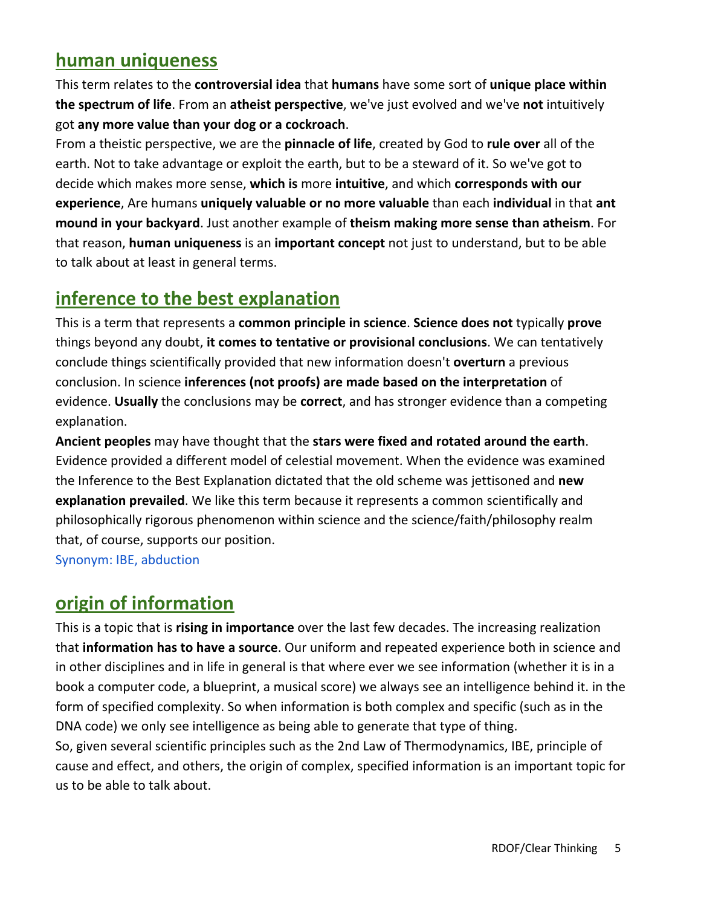### **human uniqueness**

This term relates to the **controversial idea** that **humans** have some sort of **unique place within the spectrum of life**. From an **atheist perspective**, we've just evolved and we've **not** intuitively got **any more value than your dog or a cockroach**.

From a theistic perspective, we are the **pinnacle of life**, created by God to **rule over** all of the earth. Not to take advantage or exploit the earth, but to be a steward of it. So we've got to decide which makes more sense, **which is** more **intuitive**, and which **corresponds with our experience**, Are humans **uniquely valuable or no more valuable** than each **individual** in that **ant mound in your backyard**. Just another example of **theism making more sense than atheism**. For that reason, **human uniqueness** is an **important concept** not just to understand, but to be able to talk about at least in general terms.

### **inference to the best explanation**

This is a term that represents a **common principle in science**. **Science does not** typically **prove** things beyond any doubt, **it comes to tentative or provisional conclusions**. We can tentatively conclude things scientifically provided that new information doesn't **overturn** a previous conclusion. In science **inferences (not proofs) are made based on the interpretation** of evidence. **Usually** the conclusions may be **correct**, and has stronger evidence than a competing explanation.

**Ancient peoples** may have thought that the **stars were fixed and rotated around the earth**. Evidence provided a different model of celestial movement. When the evidence was examined the Inference to the Best Explanation dictated that the old scheme was jettisoned and **new explanation prevailed**. We like this term because it represents a common scientifically and philosophically rigorous phenomenon within science and the science/faith/philosophy realm that, of course, supports our position.

Synonym: IBE, abduction

## **origin of information**

This is a topic that is **rising in importance** over the last few decades. The increasing realization that **information has to have a source**. Our uniform and repeated experience both in science and in other disciplines and in life in general is that where ever we see information (whether it is in a book a computer code, a blueprint, a musical score) we always see an intelligence behind it. in the form of specified complexity. So when information is both complex and specific (such as in the DNA code) we only see intelligence as being able to generate that type of thing. So, given several scientific principles such as the 2nd Law of Thermodynamics, IBE, principle of cause and effect, and others, the origin of complex, specified information is an important topic for us to be able to talk about.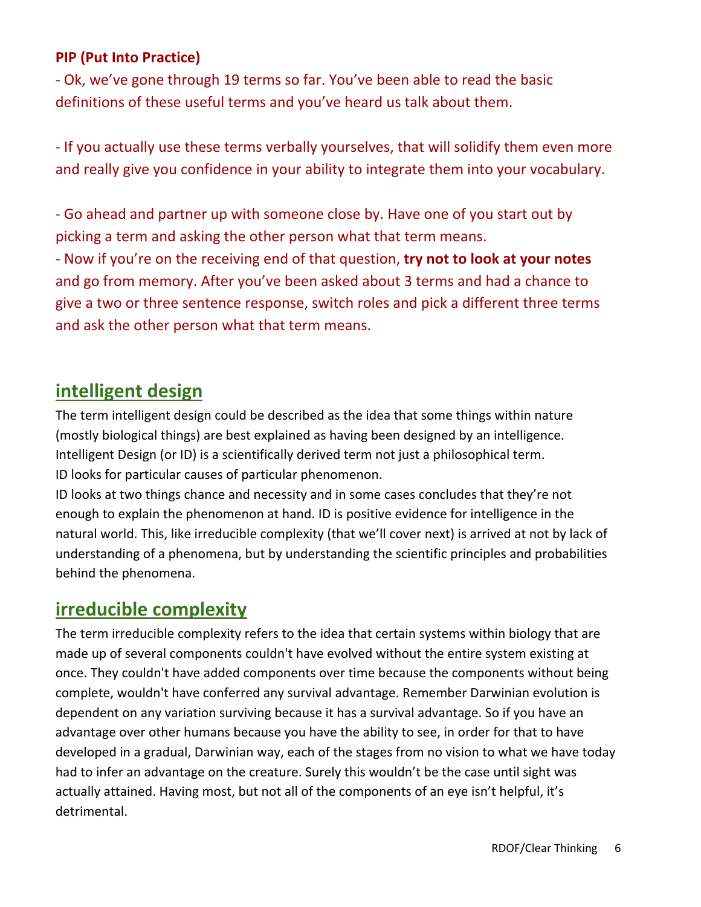#### **PIP (Put Into Practice)**

- Ok, we've gone through 19 terms so far. You've been able to read the basic definitions of these useful terms and you've heard us talk about them.

- If you actually use these terms verbally yourselves, that will solidify them even more and really give you confidence in your ability to integrate them into your vocabulary.

- Go ahead and partner up with someone close by. Have one of you start out by picking a term and asking the other person what that term means.

- Now if you're on the receiving end of that question, **try not to look at your notes** and go from memory. After you've been asked about 3 terms and had a chance to give a two or three sentence response, switch roles and pick a different three terms and ask the other person what that term means.

### **intelligent design**

The term intelligent design could be described as the idea that some things within nature (mostly biological things) are best explained as having been designed by an intelligence. Intelligent Design (or ID) is a scientifically derived term not just a philosophical term. ID looks for particular causes of particular phenomenon.

ID looks at two things chance and necessity and in some cases concludes that they're not enough to explain the phenomenon at hand. ID is positive evidence for intelligence in the natural world. This, like irreducible complexity (that we'll cover next) is arrived at not by lack of understanding of a phenomena, but by understanding the scientific principles and probabilities behind the phenomena.

### **irreducible complexity**

The term irreducible complexity refers to the idea that certain systems within biology that are made up of several components couldn't have evolved without the entire system existing at once. They couldn't have added components over time because the components without being complete, wouldn't have conferred any survival advantage. Remember Darwinian evolution is dependent on any variation surviving because it has a survival advantage. So if you have an advantage over other humans because you have the ability to see, in order for that to have developed in a gradual, Darwinian way, each of the stages from no vision to what we have today had to infer an advantage on the creature. Surely this wouldn't be the case until sight was actually attained. Having most, but not all of the components of an eye isn't helpful, it's detrimental.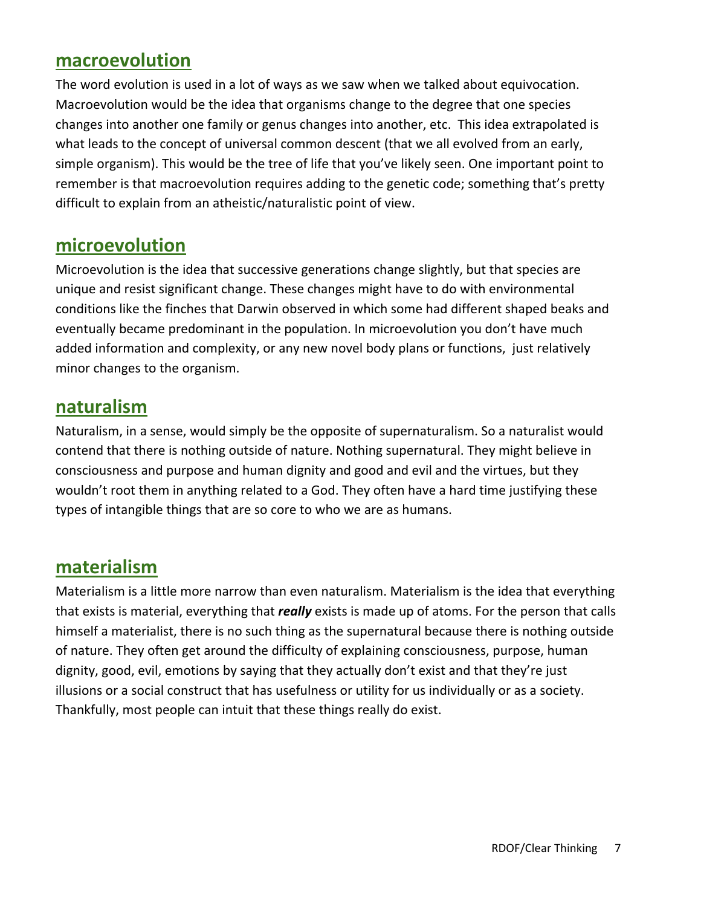#### **macroevolution**

The word evolution is used in a lot of ways as we saw when we talked about equivocation. Macroevolution would be the idea that organisms change to the degree that one species changes into another one family or genus changes into another, etc. This idea extrapolated is what leads to the concept of universal common descent (that we all evolved from an early, simple organism). This would be the tree of life that you've likely seen. One important point to remember is that macroevolution requires adding to the genetic code; something that's pretty difficult to explain from an atheistic/naturalistic point of view.

#### **microevolution**

Microevolution is the idea that successive generations change slightly, but that species are unique and resist significant change. These changes might have to do with environmental conditions like the finches that Darwin observed in which some had different shaped beaks and eventually became predominant in the population. In microevolution you don't have much added information and complexity, or any new novel body plans or functions, just relatively minor changes to the organism.

#### **naturalism**

Naturalism, in a sense, would simply be the opposite of supernaturalism. So a naturalist would contend that there is nothing outside of nature. Nothing supernatural. They might believe in consciousness and purpose and human dignity and good and evil and the virtues, but they wouldn't root them in anything related to a God. They often have a hard time justifying these types of intangible things that are so core to who we are as humans.

### **materialism**

Materialism is a little more narrow than even naturalism. Materialism is the idea that everything that exists is material, everything that *really* exists is made up of atoms. For the person that calls himself a materialist, there is no such thing as the supernatural because there is nothing outside of nature. They often get around the difficulty of explaining consciousness, purpose, human dignity, good, evil, emotions by saying that they actually don't exist and that they're just illusions or a social construct that has usefulness or utility for us individually or as a society. Thankfully, most people can intuit that these things really do exist.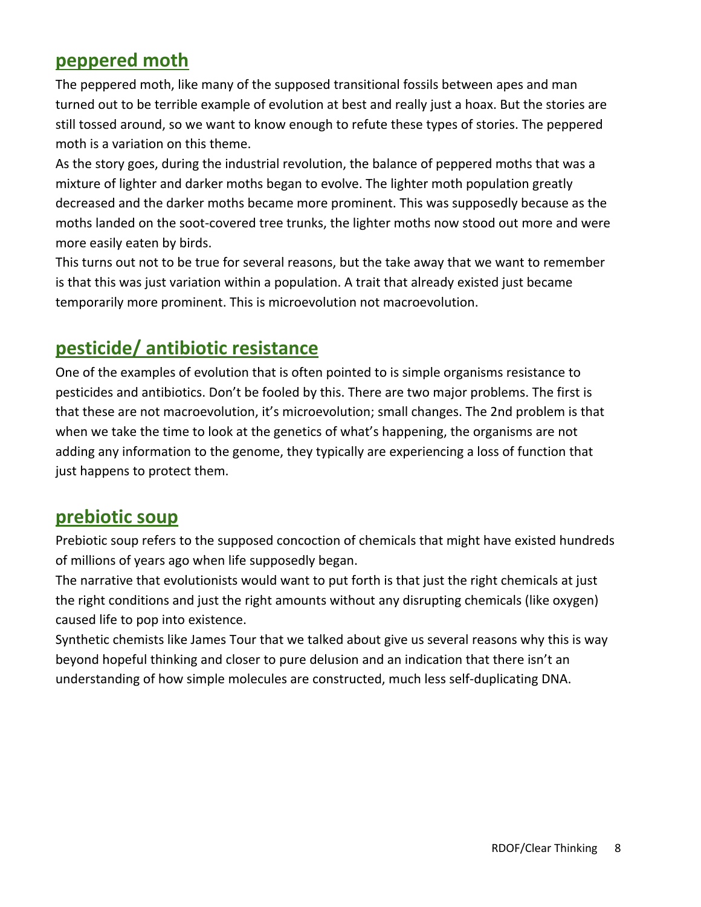### **peppered moth**

The peppered moth, like many of the supposed transitional fossils between apes and man turned out to be terrible example of evolution at best and really just a hoax. But the stories are still tossed around, so we want to know enough to refute these types of stories. The peppered moth is a variation on this theme.

As the story goes, during the industrial revolution, the balance of peppered moths that was a mixture of lighter and darker moths began to evolve. The lighter moth population greatly decreased and the darker moths became more prominent. This was supposedly because as the moths landed on the soot-covered tree trunks, the lighter moths now stood out more and were more easily eaten by birds.

This turns out not to be true for several reasons, but the take away that we want to remember is that this was just variation within a population. A trait that already existed just became temporarily more prominent. This is microevolution not macroevolution.

### **pesticide/ antibiotic resistance**

One of the examples of evolution that is often pointed to is simple organisms resistance to pesticides and antibiotics. Don't be fooled by this. There are two major problems. The first is that these are not macroevolution, it's microevolution; small changes. The 2nd problem is that when we take the time to look at the genetics of what's happening, the organisms are not adding any information to the genome, they typically are experiencing a loss of function that just happens to protect them.

### **prebiotic soup**

Prebiotic soup refers to the supposed concoction of chemicals that might have existed hundreds of millions of years ago when life supposedly began.

The narrative that evolutionists would want to put forth is that just the right chemicals at just the right conditions and just the right amounts without any disrupting chemicals (like oxygen) caused life to pop into existence.

Synthetic chemists like James Tour that we talked about give us several reasons why this is way beyond hopeful thinking and closer to pure delusion and an indication that there isn't an understanding of how simple molecules are constructed, much less self-duplicating DNA.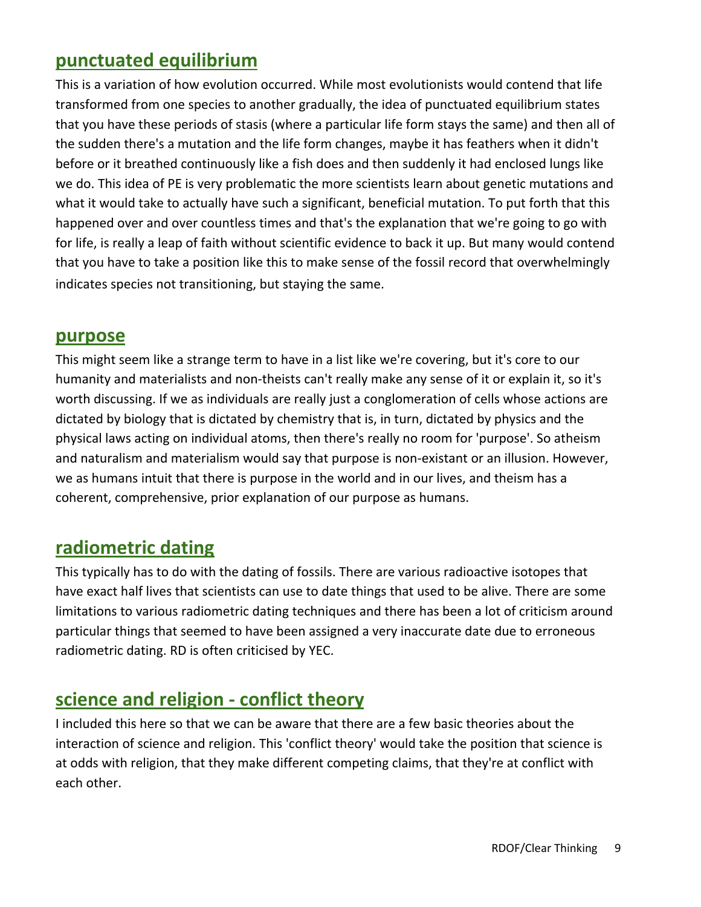### **punctuated equilibrium**

This is a variation of how evolution occurred. While most evolutionists would contend that life transformed from one species to another gradually, the idea of punctuated equilibrium states that you have these periods of stasis (where a particular life form stays the same) and then all of the sudden there's a mutation and the life form changes, maybe it has feathers when it didn't before or it breathed continuously like a fish does and then suddenly it had enclosed lungs like we do. This idea of PE is very problematic the more scientists learn about genetic mutations and what it would take to actually have such a significant, beneficial mutation. To put forth that this happened over and over countless times and that's the explanation that we're going to go with for life, is really a leap of faith without scientific evidence to back it up. But many would contend that you have to take a position like this to make sense of the fossil record that overwhelmingly indicates species not transitioning, but staying the same.

#### **purpose**

This might seem like a strange term to have in a list like we're covering, but it's core to our humanity and materialists and non-theists can't really make any sense of it or explain it, so it's worth discussing. If we as individuals are really just a conglomeration of cells whose actions are dictated by biology that is dictated by chemistry that is, in turn, dictated by physics and the physical laws acting on individual atoms, then there's really no room for 'purpose'. So atheism and naturalism and materialism would say that purpose is non-existant or an illusion. However, we as humans intuit that there is purpose in the world and in our lives, and theism has a coherent, comprehensive, prior explanation of our purpose as humans.

### **radiometric dating**

This typically has to do with the dating of fossils. There are various radioactive isotopes that have exact half lives that scientists can use to date things that used to be alive. There are some limitations to various radiometric dating techniques and there has been a lot of criticism around particular things that seemed to have been assigned a very inaccurate date due to erroneous radiometric dating. RD is often criticised by YEC.

### **science and religion - conflict theory**

I included this here so that we can be aware that there are a few basic theories about the interaction of science and religion. This 'conflict theory' would take the position that science is at odds with religion, that they make different competing claims, that they're at conflict with each other.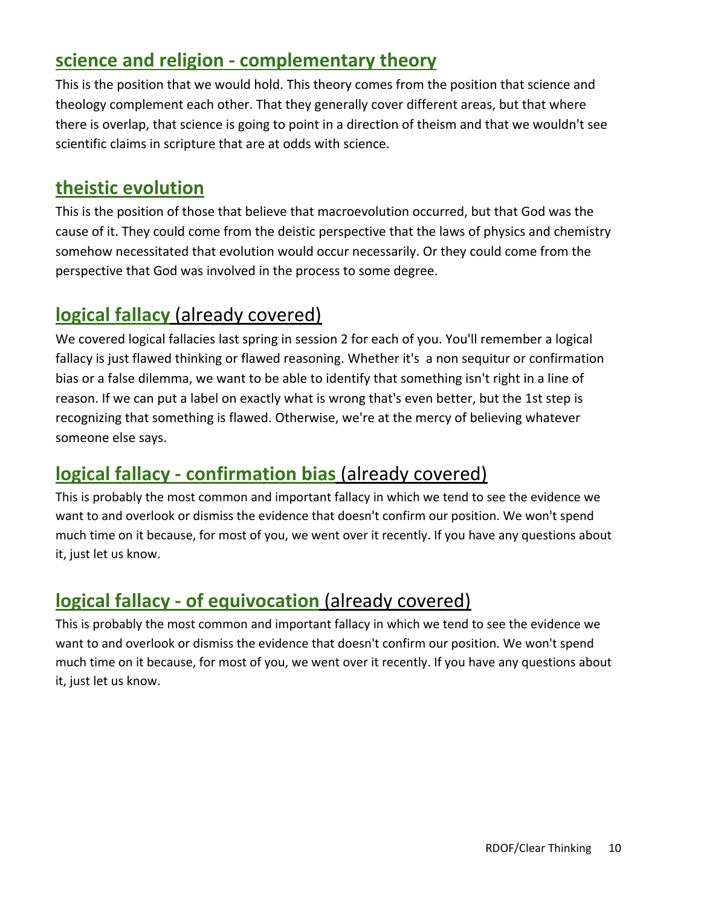## **science and religion - complementary theory**

This is the position that we would hold. This theory comes from the position that science and theology complement each other. That they generally cover different areas, but that where there is overlap, that science is going to point in a direction of theism and that we wouldn't see scientific claims in scripture that are at odds with science.

## **theistic evolution**

This is the position of those that believe that macroevolution occurred, but that God was the cause of it. They could come from the deistic perspective that the laws of physics and chemistry somehow necessitated that evolution would occur necessarily. Or they could come from the perspective that God was involved in the process to some degree.

### **logical fallacy** (already covered)

We covered logical fallacies last spring in session 2 for each of you. You'll remember a logical fallacy is just flawed thinking or flawed reasoning. Whether it's a non sequitur or confirmation bias or a false dilemma, we want to be able to identify that something isn't right in a line of reason. If we can put a label on exactly what is wrong that's even better, but the 1st step is recognizing that something is flawed. Otherwise, we're at the mercy of believing whatever someone else says.

# **logical fallacy - confirmation bias** (already covered)

This is probably the most common and important fallacy in which we tend to see the evidence we want to and overlook or dismiss the evidence that doesn't confirm our position. We won't spend much time on it because, for most of you, we went over it recently. If you have any questions about it, just let us know.

# **logical fallacy - of equivocation** (already covered)

This is probably the most common and important fallacy in which we tend to see the evidence we want to and overlook or dismiss the evidence that doesn't confirm our position. We won't spend much time on it because, for most of you, we went over it recently. If you have any questions about it, just let us know.